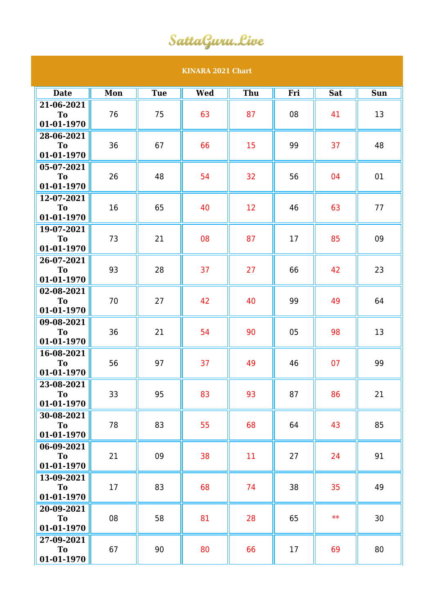## SattaGuru.Live

## **KINARA 2021 Chart Date Mon Tue Wed Thu Fri Sat Sun 21-06-2021 To 01-01-1970** 76 || 75 || 63 || 87 || 08 || 41 || 13 **28-06-2021 To 01-01-1970** 36 || 67 || 66 || 15 || 99 || 37 || 48 **05-07-2021 To 01-01-1970** 26 || 48 || 54 || 32 || 56 || 04 || 01 **12-07-2021 To 01-01-1970** 16 65  $\parallel$  40  $\parallel$  12  $\parallel$  46  $\parallel$  63  $\parallel$  77 **19-07-2021 To 01-01-1970** 73 || 21 || 08 || 87 || 17 || 85 || 09 **26-07-2021 To 01-01-1970** 93 || 28 || 37 || 27 || 66 || 42 || 23 **02-08-2021 To 01-01-1970** 70 || 27 || 42 || 40 || 99 || 49 || 64 **09-08-2021 To 01-01-1970** 36 || 21 || 54 || 90 || 05 || 98 || 13 **16-08-2021 To 01-01-1970** 56 || 97 || 37 || 49 || 46 || 07 || 99 **23-08-2021 To 01-01-1970** 33 **95 83 83 87 87 86 87** 21 **30-08-2021 To 01-01-1970** 78 || 83 || 55 || 68 || 64 || 43 || 85 **06-09-2021 To 01-01-1970** 21 || 09 || 38 || 11 || 27 || 24 || 91 **13-09-2021 To 01-01-1970** 17 || 83 || 68 || 74 || 38 || 35 || 49 **20-09-2021 To 01-01-1970** 08 || 58 || 81 || 28 || 65 || \*\* || 30 **27-09-2021 To** 67 || 90 || 80 || 66 || 17 || 69 || 80

**01-01-1970**